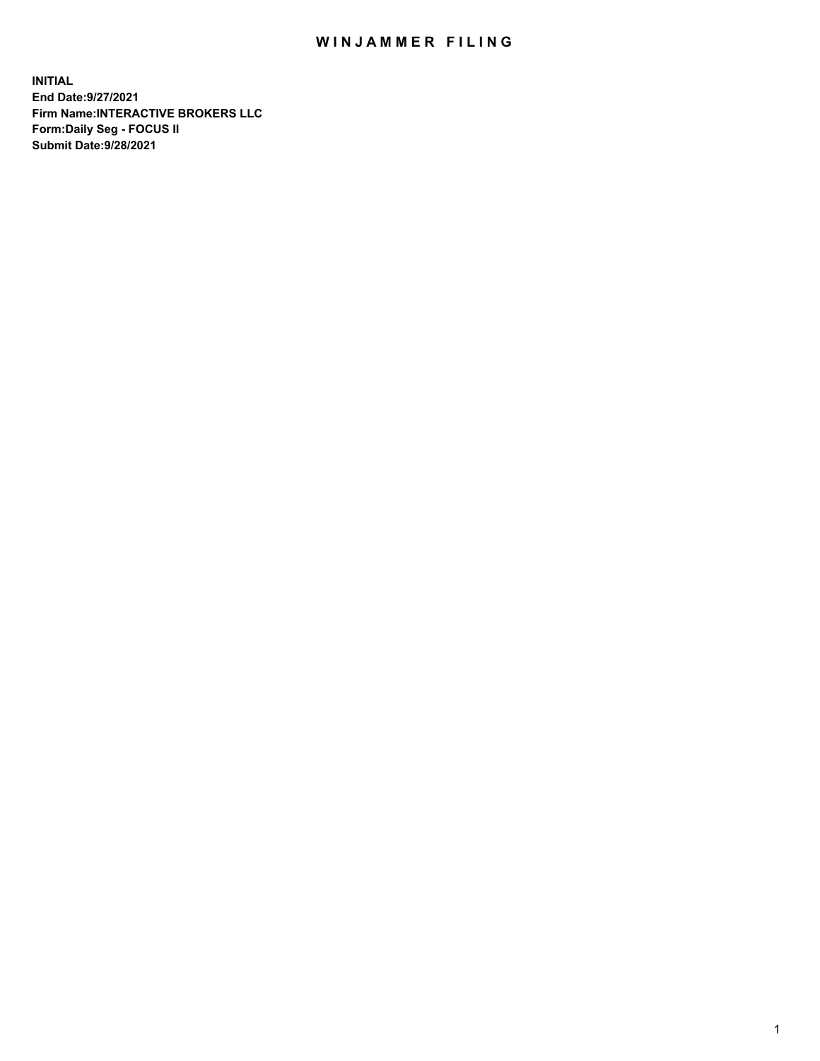## WIN JAMMER FILING

**INITIAL End Date:9/27/2021 Firm Name:INTERACTIVE BROKERS LLC Form:Daily Seg - FOCUS II Submit Date:9/28/2021**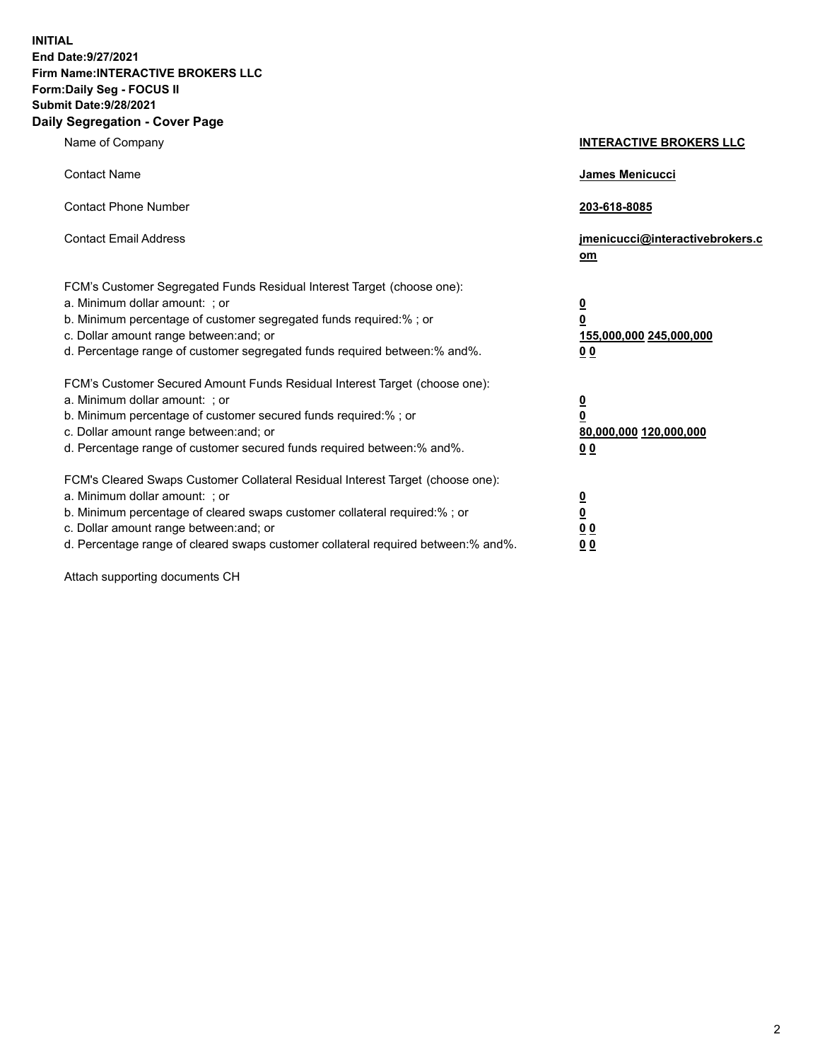**INITIAL End Date:9/27/2021 Firm Name:INTERACTIVE BROKERS LLC Form:Daily Seg - FOCUS II Submit Date:9/28/2021 Daily Segregation - Cover Page**

| Name of Company                                                                                                                                                                                                                                                                                                                | <b>INTERACTIVE BROKERS LLC</b>                                                                 |  |
|--------------------------------------------------------------------------------------------------------------------------------------------------------------------------------------------------------------------------------------------------------------------------------------------------------------------------------|------------------------------------------------------------------------------------------------|--|
| <b>Contact Name</b>                                                                                                                                                                                                                                                                                                            | <b>James Menicucci</b>                                                                         |  |
| <b>Contact Phone Number</b>                                                                                                                                                                                                                                                                                                    | 203-618-8085                                                                                   |  |
| <b>Contact Email Address</b>                                                                                                                                                                                                                                                                                                   | jmenicucci@interactivebrokers.c<br>om                                                          |  |
| FCM's Customer Segregated Funds Residual Interest Target (choose one):<br>a. Minimum dollar amount: ; or<br>b. Minimum percentage of customer segregated funds required:% ; or<br>c. Dollar amount range between: and; or<br>d. Percentage range of customer segregated funds required between:% and%.                         | $\overline{\mathbf{0}}$<br>$\overline{\mathbf{0}}$<br>155,000,000 245,000,000<br>00            |  |
| FCM's Customer Secured Amount Funds Residual Interest Target (choose one):<br>a. Minimum dollar amount: ; or<br>b. Minimum percentage of customer secured funds required:% ; or<br>c. Dollar amount range between: and; or<br>d. Percentage range of customer secured funds required between:% and%.                           | $\overline{\mathbf{0}}$<br>$\overline{\mathbf{0}}$<br>80,000,000 120,000,000<br>0 <sub>0</sub> |  |
| FCM's Cleared Swaps Customer Collateral Residual Interest Target (choose one):<br>a. Minimum dollar amount: ; or<br>b. Minimum percentage of cleared swaps customer collateral required:% ; or<br>c. Dollar amount range between: and; or<br>d. Percentage range of cleared swaps customer collateral required between:% and%. | $\overline{\mathbf{0}}$<br><u>0</u><br>0 <sub>0</sub><br>0 <sub>0</sub>                        |  |

Attach supporting documents CH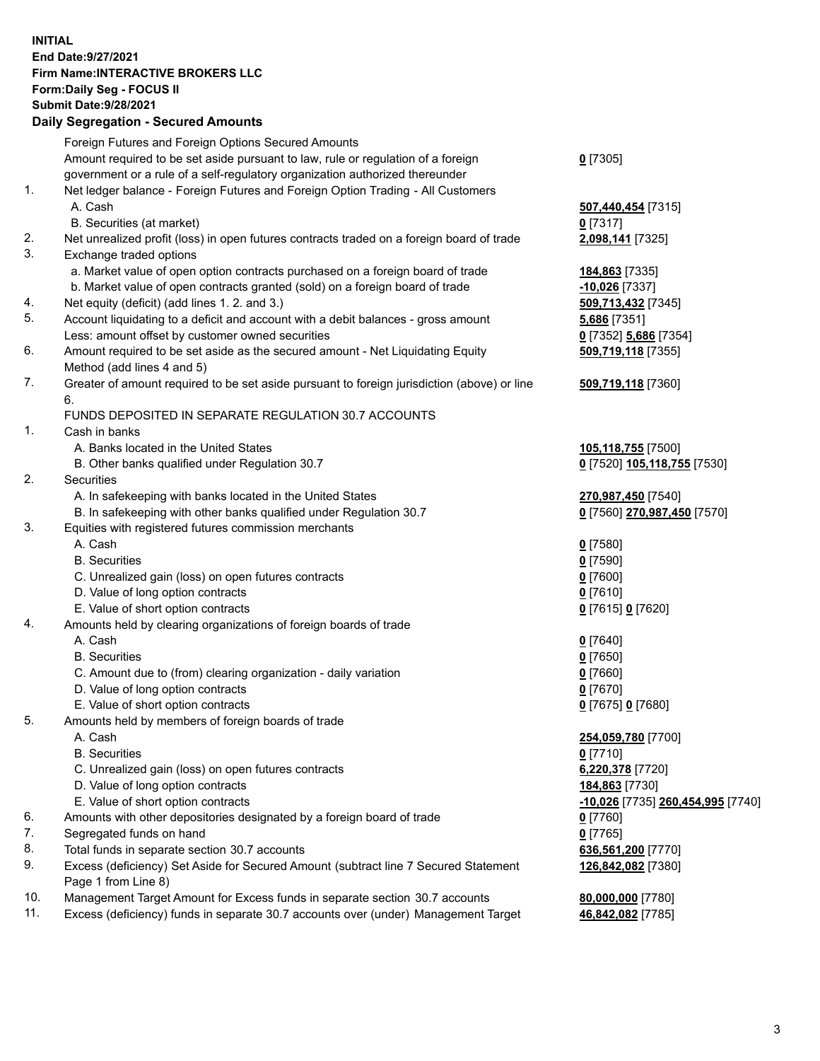**INITIAL End Date:9/27/2021 Firm Name:INTERACTIVE BROKERS LLC Form:Daily Seg - FOCUS II Submit Date:9/28/2021 Daily Segregation - Secured Amounts**

## Foreign Futures and Foreign Options Secured Amounts Amount required to be set aside pursuant to law, rule or regulation of a foreign government or a rule of a self-regulatory organization authorized thereunder **0** [7305] 1. Net ledger balance - Foreign Futures and Foreign Option Trading - All Customers A. Cash **507,440,454** [7315] B. Securities (at market) **0** [7317] 2. Net unrealized profit (loss) in open futures contracts traded on a foreign board of trade **2,098,141** [7325] 3. Exchange traded options a. Market value of open option contracts purchased on a foreign board of trade **184,863** [7335] b. Market value of open contracts granted (sold) on a foreign board of trade **-10,026** [7337] 4. Net equity (deficit) (add lines 1. 2. and 3.) **509,713,432** [7345] 5. Account liquidating to a deficit and account with a debit balances - gross amount **5,686** [7351] Less: amount offset by customer owned securities **0** [7352] **5,686** [7354] 6. Amount required to be set aside as the secured amount - Net Liquidating Equity Method (add lines 4 and 5) **509,719,118** [7355] 7. Greater of amount required to be set aside pursuant to foreign jurisdiction (above) or line 6. **509,719,118** [7360] FUNDS DEPOSITED IN SEPARATE REGULATION 30.7 ACCOUNTS 1. Cash in banks A. Banks located in the United States **105,118,755** [7500] B. Other banks qualified under Regulation 30.7 **0** [7520] **105,118,755** [7530] 2. Securities A. In safekeeping with banks located in the United States **270,987,450** [7540] B. In safekeeping with other banks qualified under Regulation 30.7 **0** [7560] **270,987,450** [7570] 3. Equities with registered futures commission merchants A. Cash **0** [7580] B. Securities **0** [7590] C. Unrealized gain (loss) on open futures contracts **0** [7600] D. Value of long option contracts **0** [7610] E. Value of short option contracts **0** [7615] **0** [7620] 4. Amounts held by clearing organizations of foreign boards of trade A. Cash **0** [7640] B. Securities **0** [7650] C. Amount due to (from) clearing organization - daily variation **0** [7660] D. Value of long option contracts **0** [7670] E. Value of short option contracts **0** [7675] **0** [7680] 5. Amounts held by members of foreign boards of trade A. Cash **254,059,780** [7700] B. Securities **0** [7710] C. Unrealized gain (loss) on open futures contracts **6,220,378** [7720] D. Value of long option contracts **184,863** [7730] E. Value of short option contracts **-10,026** [7735] **260,454,995** [7740] 6. Amounts with other depositories designated by a foreign board of trade **0** [7760] 7. Segregated funds on hand **0** [7765] 8. Total funds in separate section 30.7 accounts **636,561,200** [7770] 9. Excess (deficiency) Set Aside for Secured Amount (subtract line 7 Secured Statement Page 1 from Line 8) **126,842,082** [7380] 10. Management Target Amount for Excess funds in separate section 30.7 accounts **80,000,000** [7780] 11. Excess (deficiency) funds in separate 30.7 accounts over (under) Management Target **46,842,082** [7785]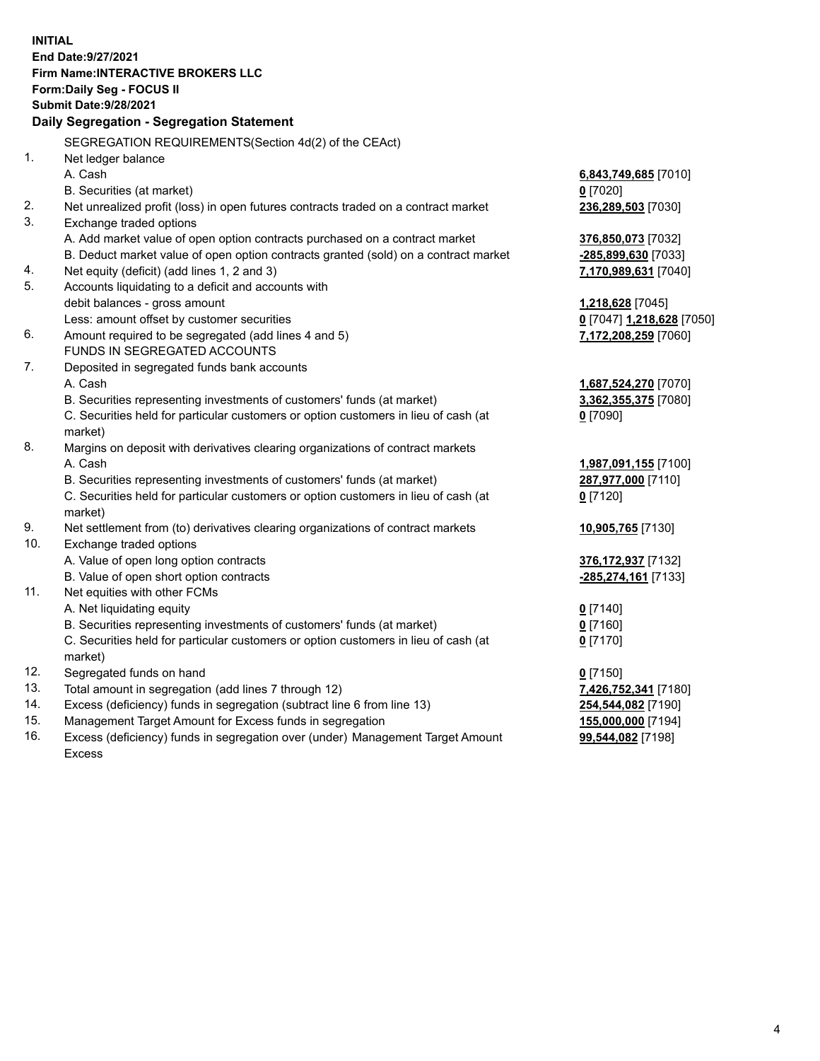**INITIAL End Date:9/27/2021 Firm Name:INTERACTIVE BROKERS LLC Form:Daily Seg - FOCUS II Submit Date:9/28/2021 Daily Segregation - Segregation Statement** SEGREGATION REQUIREMENTS(Section 4d(2) of the CEAct) 1. Net ledger balance A. Cash **6,843,749,685** [7010] B. Securities (at market) **0** [7020] 2. Net unrealized profit (loss) in open futures contracts traded on a contract market **236,289,503** [7030] 3. Exchange traded options A. Add market value of open option contracts purchased on a contract market **376,850,073** [7032] B. Deduct market value of open option contracts granted (sold) on a contract market **-285,899,630** [7033] 4. Net equity (deficit) (add lines 1, 2 and 3) **7,170,989,631** [7040] 5. Accounts liquidating to a deficit and accounts with debit balances - gross amount **1,218,628** [7045] Less: amount offset by customer securities **0** [7047] **1,218,628** [7050] 6. Amount required to be segregated (add lines 4 and 5) **7,172,208,259** [7060] FUNDS IN SEGREGATED ACCOUNTS 7. Deposited in segregated funds bank accounts A. Cash **1,687,524,270** [7070] B. Securities representing investments of customers' funds (at market) **3,362,355,375** [7080] C. Securities held for particular customers or option customers in lieu of cash (at market) **0** [7090] 8. Margins on deposit with derivatives clearing organizations of contract markets A. Cash **1,987,091,155** [7100] B. Securities representing investments of customers' funds (at market) **287,977,000** [7110] C. Securities held for particular customers or option customers in lieu of cash (at market) **0** [7120] 9. Net settlement from (to) derivatives clearing organizations of contract markets **10,905,765** [7130] 10. Exchange traded options A. Value of open long option contracts **376,172,937** [7132] B. Value of open short option contracts **-285,274,161** [7133] 11. Net equities with other FCMs A. Net liquidating equity **0** [7140] B. Securities representing investments of customers' funds (at market) **0** [7160] C. Securities held for particular customers or option customers in lieu of cash (at market) **0** [7170] 12. Segregated funds on hand **0** [7150] 13. Total amount in segregation (add lines 7 through 12) **7,426,752,341** [7180] 14. Excess (deficiency) funds in segregation (subtract line 6 from line 13) **254,544,082** [7190] 15. Management Target Amount for Excess funds in segregation **155,000,000** [7194]

16. Excess (deficiency) funds in segregation over (under) Management Target Amount Excess

**99,544,082** [7198]